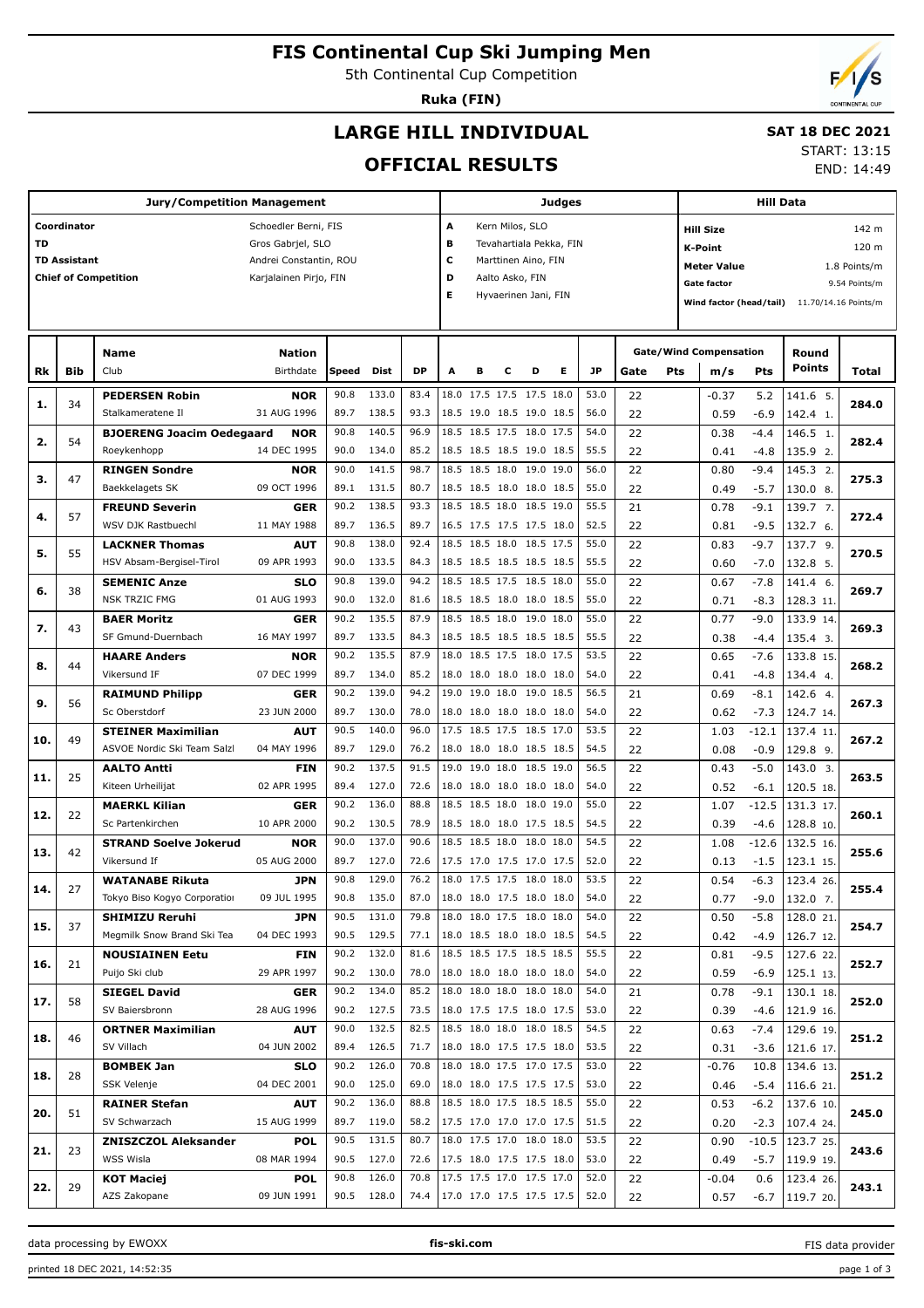# **FIS Continental Cup Ski Jumping Men**

5th Continental Cup Competition

**Ruka (FIN)**

# **LARGE HILL INDIVIDUAL**

## **SAT 18 DEC 2021**

## **OFFICIAL RESULTS**

START: 13:15

END: 14:49

|                                     |                     | <b>Jury/Competition Management</b> |                        |       |            |                                 | <b>Judges</b>                |                          |                      |   | <b>Hill Data</b> |      |                                    |     |                               |         |                                              |               |  |
|-------------------------------------|---------------------|------------------------------------|------------------------|-------|------------|---------------------------------|------------------------------|--------------------------|----------------------|---|------------------|------|------------------------------------|-----|-------------------------------|---------|----------------------------------------------|---------------|--|
| Coordinator<br>Schoedler Berni, FIS |                     |                                    |                        |       |            |                                 |                              | Kern Milos, SLO<br>A     |                      |   |                  |      |                                    |     | <b>Hill Size</b><br>142 m     |         |                                              |               |  |
| <b>TD</b>                           |                     |                                    | Gros Gabrjel, SLO      |       |            |                                 | в<br>Tevahartiala Pekka, FIN |                          |                      |   |                  |      |                                    |     | <b>K-Point</b><br>120 m       |         |                                              |               |  |
|                                     | <b>TD Assistant</b> |                                    | Andrei Constantin, ROU |       |            |                                 | c                            |                          | Marttinen Aino, FIN  |   |                  |      |                                    |     |                               |         |                                              |               |  |
|                                     |                     | <b>Chief of Competition</b>        | Karjalainen Pirjo, FIN |       |            |                                 | D                            |                          | Aalto Asko, FIN      |   |                  |      | <b>Meter Value</b><br>1.8 Points/m |     |                               |         |                                              |               |  |
|                                     |                     |                                    |                        |       |            |                                 | Е                            |                          | Hyvaerinen Jani, FIN |   |                  |      |                                    |     | <b>Gate factor</b>            |         |                                              | 9.54 Points/m |  |
|                                     |                     |                                    |                        |       |            |                                 |                              |                          |                      |   |                  |      |                                    |     |                               |         | Wind factor (head/tail) 11.70/14.16 Points/m |               |  |
|                                     |                     |                                    |                        |       |            |                                 |                              |                          |                      |   |                  |      |                                    |     |                               |         |                                              |               |  |
|                                     |                     |                                    |                        |       |            |                                 |                              |                          |                      |   |                  |      |                                    |     |                               |         |                                              |               |  |
|                                     |                     | Name                               | <b>Nation</b>          |       |            |                                 |                              |                          |                      |   |                  |      |                                    |     | <b>Gate/Wind Compensation</b> |         | Round<br><b>Points</b>                       |               |  |
| Rk                                  | Bib                 | Club                               | Birthdate              | Speed | Dist       | <b>DP</b>                       | А                            | в                        | с                    | D | Е                | JP.  | Gate                               | Pts | m/s                           | Pts     |                                              | Total         |  |
| 1.                                  | 34                  | <b>PEDERSEN Robin</b>              | <b>NOR</b>             | 90.8  | 133.0      | 83.4                            |                              | 18.0 17.5 17.5 17.5 18.0 |                      |   |                  | 53.0 | 22                                 |     | $-0.37$                       | 5.2     | 141.6 5.                                     | 284.0         |  |
|                                     |                     | Stalkameratene Il                  | 31 AUG 1996            | 89.7  | 138.5      | 93.3                            |                              | 18.5 19.0 18.5 19.0 18.5 |                      |   |                  | 56.0 | 22                                 |     | 0.59                          | $-6.9$  | 142.4 1.                                     |               |  |
|                                     | 54                  | <b>BJOERENG Joacim Oedegaard</b>   | <b>NOR</b>             | 90.8  | 140.5      | 96.9                            |                              | 18.5 18.5 17.5 18.0 17.5 |                      |   |                  | 54.0 | 22                                 |     | 0.38                          | $-4.4$  | 146.5 1.                                     |               |  |
| 2.                                  |                     | Roeykenhopp                        | 14 DEC 1995            | 90.0  | 134.0      | 85.2                            |                              | 18.5 18.5 18.5 19.0 18.5 |                      |   |                  | 55.5 | 22                                 |     | 0.41                          | $-4.8$  | 135.9 2.                                     | 282.4         |  |
|                                     |                     | <b>RINGEN Sondre</b>               | <b>NOR</b>             | 90.0  | 141.5      | 98.7                            |                              | 18.5 18.5 18.0 19.0 19.0 |                      |   |                  | 56.0 | 22                                 |     | 0.80                          | $-9.4$  | 145.3 2.                                     |               |  |
| з.                                  | 47                  | Baekkelagets SK                    | 09 OCT 1996            | 89.1  | 131.5      | 80.7                            |                              | 18.5 18.5 18.0 18.0 18.5 |                      |   |                  | 55.0 | 22                                 |     | 0.49                          | $-5.7$  | 130.0 8.                                     | 275.3         |  |
|                                     |                     | <b>FREUND Severin</b>              | <b>GER</b>             | 90.2  | 138.5      | 93.3                            |                              | 18.5 18.5 18.0 18.5 19.0 |                      |   |                  | 55.5 | 21                                 |     | 0.78                          | $-9.1$  | 139.7 7.                                     |               |  |
| 4.                                  | 57                  | WSV DJK Rastbuechl                 | 11 MAY 1988            | 89.7  | 136.5      | 89.7                            |                              | 16.5 17.5 17.5 17.5 18.0 |                      |   |                  | 52.5 | 22                                 |     | 0.81                          | $-9.5$  | 132.7 6.                                     | 272.4         |  |
|                                     |                     | <b>LACKNER Thomas</b>              | <b>AUT</b>             | 90.8  | 138.0      | 92.4                            |                              | 18.5 18.5 18.0 18.5 17.5 |                      |   |                  | 55.0 | 22                                 |     | 0.83                          | $-9.7$  | 137.7 9.                                     |               |  |
| 5.                                  | 55                  | HSV Absam-Bergisel-Tirol           | 09 APR 1993            | 90.0  | 133.5      | 84.3                            |                              | 18.5 18.5 18.5 18.5 18.5 |                      |   |                  | 55.5 | 22                                 |     | 0.60                          | $-7.0$  | 132.8 5.                                     | 270.5         |  |
|                                     |                     | <b>SEMENIC Anze</b>                | <b>SLO</b>             | 90.8  | 139.0      | 94.2                            |                              | 18.5 18.5 17.5 18.5 18.0 |                      |   |                  | 55.0 | 22                                 |     | 0.67                          | $-7.8$  | 141.4 6.                                     |               |  |
| 6.                                  | 38                  | <b>NSK TRZIC FMG</b>               | 01 AUG 1993            | 90.0  | 132.0      | 81.6                            |                              | 18.5 18.5 18.0 18.0 18.5 |                      |   |                  | 55.0 | 22                                 |     | 0.71                          | $-8.3$  | 128.3 11.                                    | 269.7         |  |
|                                     |                     | <b>BAER Moritz</b>                 | <b>GER</b>             | 90.2  | 135.5      | 87.9                            |                              | 18.5 18.5 18.0 19.0 18.0 |                      |   |                  | 55.0 | 22                                 |     | 0.77                          | $-9.0$  | 133.9 14.                                    |               |  |
| 7.                                  | 43                  | SF Gmund-Duernbach                 | 16 MAY 1997            | 89.7  | 133.5      | 84.3                            |                              | 18.5 18.5 18.5 18.5 18.5 |                      |   |                  | 55.5 | 22                                 |     | 0.38                          | $-4.4$  | 135.4 3.                                     | 269.3         |  |
|                                     |                     | <b>HAARE Anders</b>                | <b>NOR</b>             | 90.2  | 135.5      | 87.9                            |                              | 18.0 18.5 17.5 18.0 17.5 |                      |   |                  | 53.5 | 22                                 |     | 0.65                          | $-7.6$  | 133.8 15.                                    |               |  |
| 8.                                  | 44                  | Vikersund IF                       | 07 DEC 1999            | 89.7  | 134.0      | 85.2                            |                              | 18.0 18.0 18.0 18.0 18.0 |                      |   |                  | 54.0 | 22                                 |     |                               |         | 134.4 4.                                     | 268.2         |  |
|                                     |                     |                                    |                        |       |            |                                 |                              |                          |                      |   |                  |      |                                    |     | 0.41                          | $-4.8$  |                                              |               |  |
| 9.                                  | 56                  | <b>RAIMUND Philipp</b>             | <b>GER</b>             | 90.2  | 139.0      | 94.2                            |                              | 19.0 19.0 18.0 19.0 18.5 |                      |   |                  | 56.5 | 21                                 |     | 0.69                          | $-8.1$  | 142.6 4.                                     | 267.3         |  |
|                                     |                     | Sc Oberstdorf                      | 23 JUN 2000            | 89.7  | 130.0      | 78.0                            |                              | 18.0 18.0 18.0 18.0 18.0 |                      |   |                  | 54.0 | 22                                 |     | 0.62                          | $-7.3$  | 124.7 14.                                    |               |  |
| 10.                                 | 49                  | <b>STEINER Maximilian</b>          | <b>AUT</b>             | 90.5  | 140.0      | 96.0                            |                              | 17.5 18.5 17.5 18.5 17.0 |                      |   |                  | 53.5 | 22                                 |     | 1.03                          | $-12.1$ | 137.4 11.                                    | 267.2         |  |
|                                     |                     | ASVOE Nordic Ski Team Salzl        | 04 MAY 1996            | 89.7  | 129.0      | 76.2                            |                              | 18.0 18.0 18.0 18.5 18.5 |                      |   |                  | 54.5 | 22                                 |     | 0.08                          | $-0.9$  | 129.8 9.                                     |               |  |
| 11.                                 | 25                  | <b>AALTO Antti</b>                 | <b>FIN</b>             | 90.2  | 137.5      | 91.5                            |                              | 19.0 19.0 18.0 18.5 19.0 |                      |   |                  | 56.5 | 22                                 |     | 0.43                          | $-5.0$  | 143.0 <sub>3</sub>                           | 263.5         |  |
|                                     |                     | Kiteen Urheilijat                  | 02 APR 1995            | 89.4  | 127.0      | 72.6                            |                              | 18.0 18.0 18.0 18.0 18.0 |                      |   |                  | 54.0 | 22                                 |     | 0.52                          | $-6.1$  | 120.5 18.                                    |               |  |
| 12.                                 | 22                  | <b>MAERKL Kilian</b>               | <b>GER</b>             | 90.2  | 136.0      | 88.8                            |                              | 18.5 18.5 18.0 18.0 19.0 |                      |   |                  | 55.0 | 22                                 |     | 1.07                          | $-12.5$ | 131.3 17.                                    | 260.1         |  |
|                                     |                     | Sc Partenkirchen                   | 10 APR 2000            | 90.2  | 130.5      | 78.9                            |                              | 18.5 18.0 18.0 17.5 18.5 |                      |   |                  | 54.5 | 22                                 |     | 0.39                          | $-4.6$  | 128.8 10.                                    |               |  |
| 13.                                 | 42                  | <b>STRAND Soelve Jokerud</b>       | <b>NOR</b>             | 90.0  | 137.0      | 90.6                            |                              | 18.5 18.5 18.0 18.0 18.0 |                      |   |                  | 54.5 | 22                                 |     | 1.08                          | $-12.6$ | 132.5 16                                     | 255.6         |  |
|                                     |                     | Vikersund If                       | 05 AUG 2000            | 89.7  | 127.0      | 72.6                            |                              | 17.5 17.0 17.5 17.0 17.5 |                      |   |                  | 52.0 | 22                                 |     | 0.13                          | $-1.5$  | 123.1 15.                                    |               |  |
| 14.                                 | 27                  | <b>WATANABE Rikuta</b>             | <b>JPN</b>             | 90.8  | 129.0      | 76.2                            |                              | 18.0 17.5 17.5 18.0 18.0 |                      |   |                  | 53.5 | 22                                 |     | 0.54                          | $-6.3$  | 123.4 26.                                    | 255.4         |  |
|                                     |                     | Tokyo Biso Kogyo Corporation       | 09 JUL 1995            |       | 90.8 135.0 | 87.0                            |                              | 18.0 18.0 17.5 18.0 18.0 |                      |   |                  | 54.0 | 22                                 |     | 0.77                          | $-9.0$  | 132.0 7.                                     |               |  |
| 15.                                 | 37                  | <b>SHIMIZU Reruhi</b>              | JPN                    | 90.5  | 131.0      | 79.8                            |                              | 18.0 18.0 17.5 18.0 18.0 |                      |   |                  | 54.0 | 22                                 |     | 0.50                          | $-5.8$  | 128.0 21.                                    | 254.7         |  |
|                                     |                     | Megmilk Snow Brand Ski Tea         | 04 DEC 1993            |       | 90.5 129.5 | 77.1   18.0 18.5 18.0 18.0 18.5 |                              |                          |                      |   |                  | 54.5 | 22                                 |     | 0.42                          | -4.9    | 126.7 12.                                    |               |  |
|                                     | 21                  | <b>NOUSIAINEN Eetu</b>             | <b>FIN</b>             |       | 90.2 132.0 | 81.6                            |                              | 18.5 18.5 17.5 18.5 18.5 |                      |   |                  | 55.5 | 22                                 |     | 0.81                          | $-9.5$  | 127.6 22.                                    | 252.7         |  |
| 16.                                 |                     | Puijo Ski club                     | 29 APR 1997            |       | 90.2 130.0 | 78.0                            |                              | 18.0 18.0 18.0 18.0 18.0 |                      |   |                  | 54.0 | 22                                 |     | 0.59                          | $-6.9$  | 125.1 13.                                    |               |  |
|                                     |                     | <b>SIEGEL David</b>                | <b>GER</b>             | 90.2  | 134.0      | 85.2                            |                              | 18.0 18.0 18.0 18.0 18.0 |                      |   |                  | 54.0 | 21                                 |     | 0.78                          | $-9.1$  | 130.1 18.                                    |               |  |
| 17.                                 | 58                  | SV Baiersbronn                     | 28 AUG 1996            |       | 90.2 127.5 | 73.5                            |                              | 18.0 17.5 17.5 18.0 17.5 |                      |   |                  | 53.0 | 22                                 |     | 0.39                          | -4.6    | 121.9 16.                                    | 252.0         |  |
|                                     |                     | <b>ORTNER Maximilian</b>           | <b>AUT</b>             | 90.0  | 132.5      | 82.5                            |                              | 18.5 18.0 18.0 18.0 18.5 |                      |   |                  | 54.5 | 22                                 |     | 0.63                          | $-7.4$  | 129.6 19.                                    |               |  |
| 18.                                 | 46                  | SV Villach                         | 04 JUN 2002            |       | 89.4 126.5 | 71.7                            |                              | 18.0 18.0 17.5 17.5 18.0 |                      |   |                  | 53.5 | 22                                 |     | 0.31                          | $-3.6$  | 121.6 17.                                    | 251.2         |  |
|                                     |                     | <b>BOMBEK Jan</b>                  | <b>SLO</b>             | 90.2  | 126.0      | 70.8                            |                              | 18.0 18.0 17.5 17.0 17.5 |                      |   |                  | 53.0 | 22                                 |     | $-0.76$                       | 10.8    | 134.6 13.                                    |               |  |
| 18.                                 | 28                  | SSK Velenje                        | 04 DEC 2001            |       | 90.0 125.0 | 69.0                            |                              | 18.0 18.0 17.5 17.5 17.5 |                      |   |                  | 53.0 | 22                                 |     | 0.46                          | $-5.4$  | 116.6 21.                                    | 251.2         |  |
|                                     |                     | <b>RAINER Stefan</b>               | <b>AUT</b>             | 90.2  | 136.0      | 88.8                            |                              | 18.5 18.0 17.5 18.5 18.5 |                      |   |                  | 55.0 | 22                                 |     | 0.53                          | $-6.2$  | 137.6 10.                                    |               |  |
| 20.                                 | 51                  | SV Schwarzach                      | 15 AUG 1999            |       | 89.7 119.0 | 58.2                            |                              | 17.5 17.0 17.0 17.0 17.5 |                      |   |                  | 51.5 | 22                                 |     | 0.20                          | $-2.3$  | 107.4 24.                                    | 245.0         |  |
|                                     |                     | <b>ZNISZCZOL Aleksander</b>        | <b>POL</b>             | 90.5  | 131.5      | 80.7                            |                              | 18.0 17.5 17.0 18.0 18.0 |                      |   |                  | 53.5 | 22                                 |     | 0.90                          | $-10.5$ | 123.7 25.                                    |               |  |
| 21.                                 | 23                  | WSS Wisla                          | 08 MAR 1994            |       | 90.5 127.0 | 72.6   17.5 18.0 17.5 17.5 18.0 |                              |                          |                      |   |                  | 53.0 | 22                                 |     | 0.49                          | $-5.7$  | 119.9 19.                                    | 243.6         |  |
|                                     |                     | KOT Maciej                         | <b>POL</b>             | 90.8  | 126.0      | 70.8                            |                              | 17.5 17.5 17.0 17.5 17.0 |                      |   |                  | 52.0 | 22                                 |     | $-0.04$                       | 0.6     | 123.4 26.                                    |               |  |
| 22.                                 | 29                  | AZS Zakopane                       | 09 JUN 1991            |       | 90.5 128.0 | 74.4 17.0 17.0 17.5 17.5 17.5   |                              |                          |                      |   |                  | 52.0 | 22                                 |     | 0.57                          | $-6.7$  | 119.7 20.                                    | 243.1         |  |
|                                     |                     |                                    |                        |       |            |                                 |                              |                          |                      |   |                  |      |                                    |     |                               |         |                                              |               |  |

data processing by EWOXX **fis-ski.com**

FIS data provider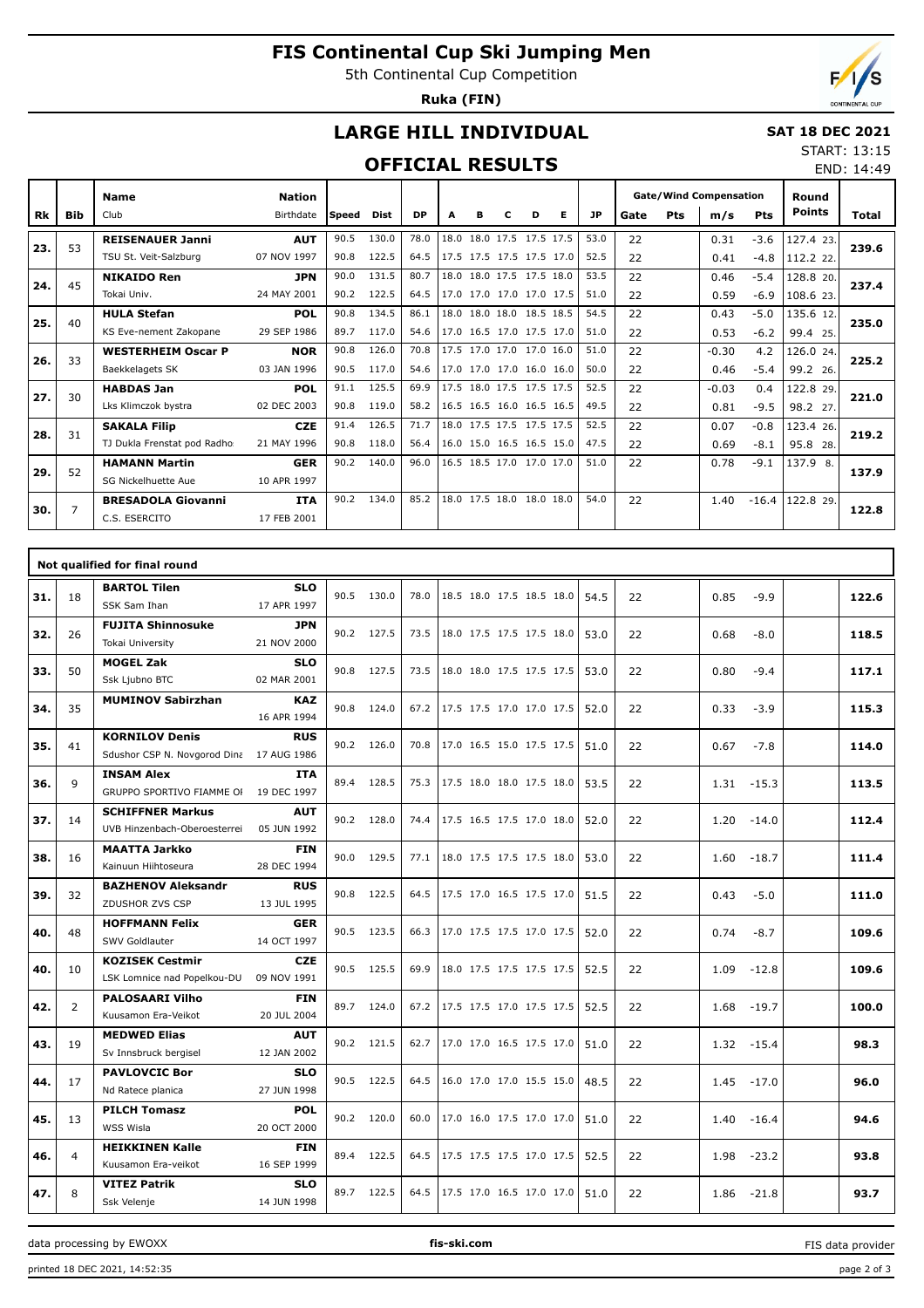# **FIS Continental Cup Ski Jumping Men**

5th Continental Cup Competition

**Ruka (FIN)**



END: 14:49

## **LARGE HILL INDIVIDUAL**

#### **SAT 18 DEC 2021** START: 13:15

### **OFFICIAL RESULTS**

|     |            | <b>Name</b>                  | <b>Nation</b> |              |       |           |      |   |                          |   |   |           | <b>Gate/Wind Compensation</b> |     |         |         | Round         |       |
|-----|------------|------------------------------|---------------|--------------|-------|-----------|------|---|--------------------------|---|---|-----------|-------------------------------|-----|---------|---------|---------------|-------|
| Rk  | <b>Bib</b> | Club                         | Birthdate     | <b>Speed</b> | Dist  | <b>DP</b> | A    | в | с                        | D | Е | <b>JP</b> | Gate                          | Pts | m/s     | Pts     | <b>Points</b> | Total |
| 23. | 53         | <b>REISENAUER Janni</b>      | <b>AUT</b>    | 90.5         | 130.0 | 78.0      | 18.0 |   | 18.0 17.5 17.5 17.5      |   |   | 53.0      | 22                            |     | 0.31    | $-3.6$  | 127.4 23.     | 239.6 |
|     |            | TSU St. Veit-Salzburg        | 07 NOV 1997   | 90.8         | 122.5 | 64.5      |      |   | 17.5 17.5 17.5 17.5 17.0 |   |   | 52.5      | 22                            |     | 0.41    | $-4.8$  | 112.2 22.     |       |
| 24. | 45         | <b>NIKAIDO Ren</b>           | <b>JPN</b>    | 90.0         | 131.5 | 80.7      | 18.0 |   | 18.0 17.5 17.5 18.0      |   |   | 53.5      | 22                            |     | 0.46    | $-5.4$  | 128.8 20.     | 237.4 |
|     |            | Tokai Univ.                  | 24 MAY 2001   | 90.2         | 122.5 | 64.5      |      |   | 17.0 17.0 17.0 17.0 17.5 |   |   | 51.0      | 22                            |     | 0.59    | $-6.9$  | 108.6 23.     |       |
| 25. | 40         | <b>HULA Stefan</b>           | <b>POL</b>    | 90.8         | 134.5 | 86.1      |      |   | 18.0 18.0 18.0 18.5 18.5 |   |   | 54.5      | 22                            |     | 0.43    | $-5.0$  | 135.6 12.     | 235.0 |
|     |            | KS Eve-nement Zakopane       | 29 SEP 1986   | 89.7         | 117.0 | 54.6      |      |   | 17.0 16.5 17.0 17.5 17.0 |   |   | 51.0      | 22                            |     | 0.53    | $-6.2$  | 99.4 25.      |       |
| 26. | 33         | <b>WESTERHEIM Oscar P</b>    | <b>NOR</b>    | 90.8         | 126.0 | 70.8      |      |   | 17.5 17.0 17.0 17.0 16.0 |   |   | 51.0      | 22                            |     | $-0.30$ | 4.2     | 126.0 24.     | 225.2 |
|     |            | Baekkelagets SK              | 03 JAN 1996   | 90.5         | 117.0 | 54.6      |      |   | 17.0 17.0 17.0 16.0 16.0 |   |   | 50.0      | 22                            |     | 0.46    | $-5.4$  | 99.2 26.      |       |
| 27. | 30         | <b>HABDAS Jan</b>            | <b>POL</b>    | 91.1         | 125.5 | 69.9      |      |   | 17.5 18.0 17.5 17.5 17.5 |   |   | 52.5      | 22                            |     | $-0.03$ | 0.4     | 122.8 29.     | 221.0 |
|     |            | Lks Klimczok bystra          | 02 DEC 2003   | 90.8         | 119.0 | 58.2      |      |   | 16.5 16.5 16.0 16.5 16.5 |   |   | 49.5      | 22                            |     | 0.81    | $-9.5$  | 98.2 27.      |       |
| 28. | 31         | <b>SAKALA Filip</b>          | <b>CZE</b>    | 91.4         | 126.5 | 71.7      |      |   | 18.0 17.5 17.5 17.5 17.5 |   |   | 52.5      | 22                            |     | 0.07    | $-0.8$  | 123.4 26.     | 219.2 |
|     |            | TJ Dukla Frenstat pod Radho: | 21 MAY 1996   | 90.8         | 118.0 | 56.4      |      |   | 16.0 15.0 16.5 16.5 15.0 |   |   | 47.5      | 22                            |     | 0.69    | $-8.1$  | 95.8 28.      |       |
| 29. | 52         | <b>HAMANN Martin</b>         | <b>GER</b>    | 90.2         | 140.0 | 96.0      |      |   | 16.5 18.5 17.0 17.0 17.0 |   |   | 51.0      | 22                            |     | 0.78    | $-9.1$  | 137.9 8.      | 137.9 |
|     |            | SG Nickelhuette Aue          | 10 APR 1997   |              |       |           |      |   |                          |   |   |           |                               |     |         |         |               |       |
| 30. | 7          | <b>BRESADOLA Giovanni</b>    | <b>ITA</b>    | 90.2         | 134.0 | 85.2      |      |   | 18.0 17.5 18.0 18.0 18.0 |   |   | 54.0      | 22                            |     | 1.40    | $-16.4$ | 122.8 29.     | 122.8 |
|     |            | C.S. ESERCITO                | 17 FEB 2001   |              |       |           |      |   |                          |   |   |           |                               |     |         |         |               |       |

|     |                | Not qualified for final round                                     |                           |      |            |      |                          |      |    |                 |       |
|-----|----------------|-------------------------------------------------------------------|---------------------------|------|------------|------|--------------------------|------|----|-----------------|-------|
| 31. | 18             | <b>BARTOL Tilen</b><br>SSK Sam Ihan                               | <b>SLO</b><br>17 APR 1997 |      | 90.5 130.0 | 78.0 | 18.5 18.0 17.5 18.5 18.0 | 54.5 | 22 | 0.85<br>$-9.9$  | 122.6 |
| 32. | 26             | <b>FUJITA Shinnosuke</b><br>Tokai University                      | <b>JPN</b><br>21 NOV 2000 |      | 90.2 127.5 | 73.5 | 18.0 17.5 17.5 17.5 18.0 | 53.0 | 22 | 0.68<br>$-8.0$  | 118.5 |
| 33. | 50             | <b>MOGEL Zak</b><br>Ssk Ljubno BTC                                | <b>SLO</b><br>02 MAR 2001 |      | 90.8 127.5 | 73.5 | 18.0 18.0 17.5 17.5 17.5 | 53.0 | 22 | $-9.4$<br>0.80  | 117.1 |
| 34. | 35             | <b>MUMINOV Sabirzhan</b>                                          | <b>KAZ</b><br>16 APR 1994 |      | 90.8 124.0 | 67.2 | 17.5 17.5 17.0 17.0 17.5 | 52.0 | 22 | 0.33<br>$-3.9$  | 115.3 |
| 35. | 41             | <b>KORNILOV Denis</b><br>Sdushor CSP N. Novgorod Dina 17 AUG 1986 | <b>RUS</b>                |      | 90.2 126.0 | 70.8 | 17.0 16.5 15.0 17.5 17.5 | 51.0 | 22 | $-7.8$<br>0.67  | 114.0 |
| 36. | 9              | <b>INSAM Alex</b><br>GRUPPO SPORTIVO FIAMME OF                    | <b>ITA</b><br>19 DEC 1997 |      | 89.4 128.5 | 75.3 | 17.5 18.0 18.0 17.5 18.0 | 53.5 | 22 | 1.31<br>$-15.3$ | 113.5 |
| 37. | 14             | <b>SCHIFFNER Markus</b><br>UVB Hinzenbach-Oberoesterrei           | <b>AUT</b><br>05 JUN 1992 |      | 90.2 128.0 | 74.4 | 17.5 16.5 17.5 17.0 18.0 | 52.0 | 22 | 1.20<br>$-14.0$ | 112.4 |
| 38. | 16             | <b>MAATTA Jarkko</b><br>Kainuun Hiihtoseura                       | <b>FIN</b><br>28 DEC 1994 |      | 90.0 129.5 | 77.1 | 18.0 17.5 17.5 17.5 18.0 | 53.0 | 22 | 1.60<br>$-18.7$ | 111.4 |
| 39. | 32             | <b>BAZHENOV Aleksandr</b><br>ZDUSHOR ZVS CSP                      | <b>RUS</b><br>13 JUL 1995 | 90.8 | 122.5      | 64.5 | 17.5 17.0 16.5 17.5 17.0 | 51.5 | 22 | $-5.0$<br>0.43  | 111.0 |
| 40. | 48             | <b>HOFFMANN Felix</b><br>SWV Goldlauter                           | <b>GER</b><br>14 OCT 1997 |      | 90.5 123.5 | 66.3 | 17.0 17.5 17.5 17.0 17.5 | 52.0 | 22 | 0.74<br>$-8.7$  | 109.6 |
| 40. | 10             | <b>KOZISEK Cestmir</b><br>LSK Lomnice nad Popelkou-DUI            | <b>CZE</b><br>09 NOV 1991 |      | 90.5 125.5 | 69.9 | 18.0 17.5 17.5 17.5 17.5 | 52.5 | 22 | 1.09<br>$-12.8$ | 109.6 |
| 42. | 2              | <b>PALOSAARI Vilho</b><br>Kuusamon Era-Veikot                     | <b>FIN</b><br>20 JUL 2004 |      | 89.7 124.0 | 67.2 | 17.5 17.5 17.0 17.5 17.5 | 52.5 | 22 | 1.68<br>$-19.7$ | 100.0 |
| 43. | 19             | <b>MEDWED Elias</b><br>Sv Innsbruck bergisel                      | <b>AUT</b><br>12 JAN 2002 |      | 90.2 121.5 | 62.7 | 17.0 17.0 16.5 17.5 17.0 | 51.0 | 22 | $1.32 - 15.4$   | 98.3  |
| 44. | 17             | <b>PAVLOVCIC Bor</b><br>Nd Ratece planica                         | <b>SLO</b><br>27 JUN 1998 |      | 90.5 122.5 | 64.5 | 16.0 17.0 17.0 15.5 15.0 | 48.5 | 22 | 1.45<br>$-17.0$ | 96.0  |
| 45. | 13             | <b>PILCH Tomasz</b><br>WSS Wisla                                  | <b>POL</b><br>20 OCT 2000 |      | 90.2 120.0 | 60.0 | 17.0 16.0 17.5 17.0 17.0 | 51.0 | 22 | 1.40<br>$-16.4$ | 94.6  |
| 46. | $\overline{4}$ | <b>HEIKKINEN Kalle</b><br>Kuusamon Era-veikot                     | <b>FIN</b><br>16 SEP 1999 | 89.4 | 122.5      | 64.5 | 17.5 17.5 17.5 17.0 17.5 | 52.5 | 22 | 1.98<br>$-23.2$ | 93.8  |
| 47. | 8              | <b>VITEZ Patrik</b><br>Ssk Velenje                                | <b>SLO</b><br>14 JUN 1998 |      | 89.7 122.5 | 64.5 | 17.5 17.0 16.5 17.0 17.0 | 51.0 | 22 | 1.86<br>$-21.8$ | 93.7  |

data processing by EWOXX **fis-ski.com**

FIS data provider